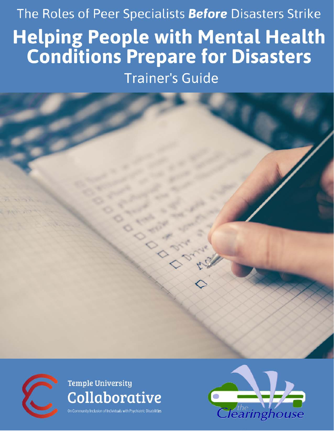# The Roles of Peer Specialists Before Disasters Strike **Helping People with Mental Health<br>Conditions Prepare for Disasters**

**Trainer's Guide** 





## Temple University Collaborative

unity Inclusion of Individuals with Psychiatric Disabilities

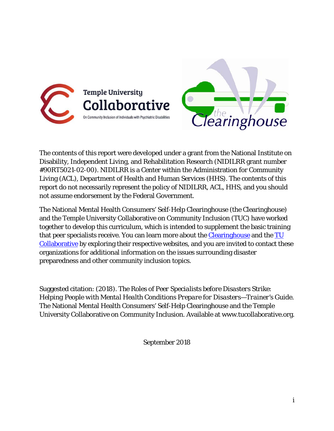



The contents of this report were developed under a grant from the National Institute on Disability, Independent Living, and Rehabilitation Research (NIDILRR grant number #90RT5021-02-00). NIDILRR is a Center within the Administration for Community Living (ACL), Department of Health and Human Services (HHS). The contents of this report do not necessarily represent the policy of NIDILRR, ACL, HHS, and you should not assume endorsement by the Federal Government.

The National Mental Health Consumers' Self-Help Clearinghouse (the Clearinghouse) and the Temple University Collaborative on Community Inclusion (TUC) have worked together to develop this curriculum, which is intended to supplement the basic training that peer specialists receive. You can learn more about the **Clearinghouse** and the **TU** [Collaborative](http://tucollaborative.org/) by exploring their respective websites, and you are invited to contact these organizations for additional information on the issues surrounding disaster preparedness and other community inclusion topics.

Suggested citation: (2018). *The Roles of Peer Specialists before Disasters Strike: Helping People with Mental Health Conditions Prepare for Disasters—Trainer's Guide*. The National Mental Health Consumers' Self-Help Clearinghouse and the Temple University Collaborative on Community Inclusion. Available at www.tucollaborative.org.

September 2018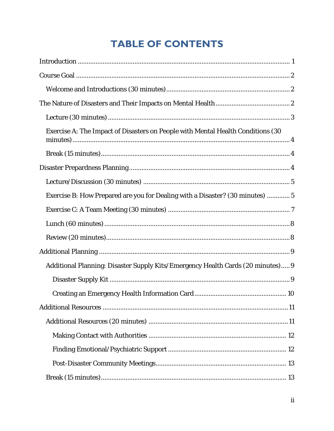## **TABLE OF CONTENTS**

| Exercise A: The Impact of Disasters on People with Mental Health Conditions (30 |
|---------------------------------------------------------------------------------|
|                                                                                 |
|                                                                                 |
|                                                                                 |
| Exercise B: How Prepared are you for Dealing with a Disaster? (30 minutes)  5   |
|                                                                                 |
|                                                                                 |
|                                                                                 |
|                                                                                 |
| Additional Planning: Disaster Supply Kits/Emergency Health Cards (20 minutes) 9 |
|                                                                                 |
|                                                                                 |
|                                                                                 |
|                                                                                 |
|                                                                                 |
|                                                                                 |
|                                                                                 |
|                                                                                 |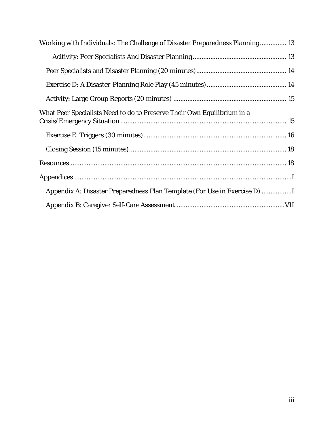| Working with Individuals: The Challenge of Disaster Preparedness Planning 13 |
|------------------------------------------------------------------------------|
|                                                                              |
|                                                                              |
|                                                                              |
|                                                                              |
| What Peer Specialists Need to do to Preserve Their Own Equilibrium in a      |
|                                                                              |
|                                                                              |
|                                                                              |
|                                                                              |
| Appendix A: Disaster Preparedness Plan Template (For Use in Exercise D)      |
|                                                                              |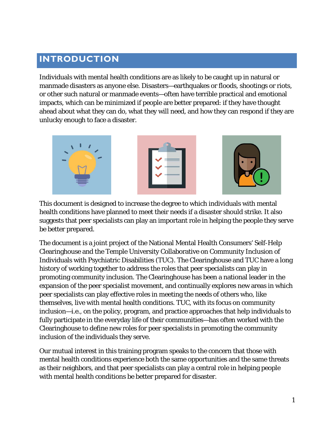## <span id="page-4-0"></span>**INTRODUCTION**

Individuals with mental health conditions are as likely to be caught up in natural or manmade disasters as anyone else. Disasters—earthquakes or floods, shootings or riots, or other such natural or manmade events—often have terrible practical and emotional impacts, which can be minimized if people are better prepared: if they have thought ahead about what they can do, what they will need, and how they can respond if they are unlucky enough to face a disaster.



This document is designed to increase the degree to which individuals with mental health conditions have planned to meet their needs if a disaster should strike. It also suggests that peer specialists can play an important role in helping the people they serve be better prepared.

The document is a joint project of the National Mental Health Consumers' Self-Help Clearinghouse and the Temple University Collaborative on Community Inclusion of Individuals with Psychiatric Disabilities (TUC). The Clearinghouse and TUC have a long history of working together to address the roles that peer specialists can play in promoting community inclusion. The Clearinghouse has been a national leader in the expansion of the peer specialist movement, and continually explores new areas in which peer specialists can play effective roles in meeting the needs of others who, like themselves, live with mental health conditions. TUC, with its focus on community inclusion—i.e., on the policy, program, and practice approaches that help individuals to fully participate in the everyday life of their communities—has often worked with the Clearinghouse to define new roles for peer specialists in promoting the community inclusion of the individuals they serve.

Our mutual interest in this training program speaks to the concern that those with mental health conditions experience both the same opportunities and the same threats as their neighbors, and that peer specialists can play a central role in helping people with mental health conditions be better prepared for disaster.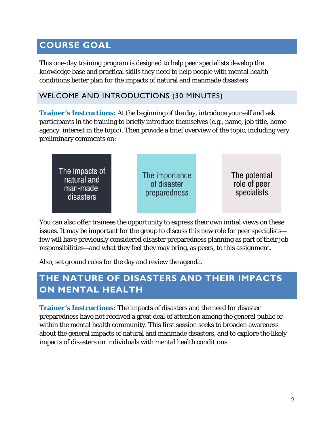## <span id="page-5-0"></span>**COURSE GOAL**

This one-day training program is designed to help peer specialists develop the knowledge base and practical skills they need to help people with mental health conditions better plan for the impacts of natural and manmade disasters

#### <span id="page-5-1"></span>WELCOME AND INTRODUCTIONS (30 MINUTES)

**Trainer's Instructions:** At the beginning of the day, introduce yourself and ask participants in the training to briefly introduce themselves (e.g., name, job title, home agency, interest in the topic). Then provide a brief overview of the topic, including very preliminary comments on:

| The impacts of<br>natural and<br>man-made<br>disasters | The importance<br>of disaster<br>preparedness |  | The potential<br>role of peer<br>specialists |
|--------------------------------------------------------|-----------------------------------------------|--|----------------------------------------------|
|--------------------------------------------------------|-----------------------------------------------|--|----------------------------------------------|

You can also offer trainees the opportunity to express their own initial views on these issues. It may be important for the group to discuss this new role for peer specialists few will have previously considered disaster preparedness planning as part of their job responsibilities—and what they feel they may bring, as peers, to this assignment.

Also, set ground rules for the day and review the agenda.

## <span id="page-5-2"></span>**THE NATURE OF DISASTERS AND THEIR IMPACTS ON MENTAL HEALTH**

**Trainer's Instructions:** The impacts of disasters and the need for disaster preparedness have not received a great deal of attention among the general public or within the mental health community. This first session seeks to broaden awareness about the general impacts of natural and manmade disasters, and to explore the likely impacts of disasters on individuals with mental health conditions.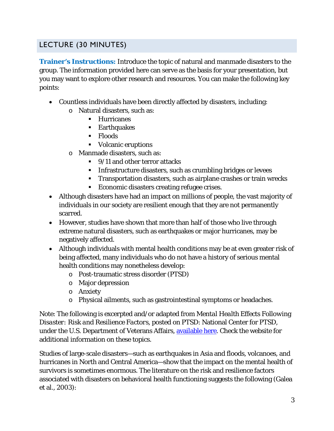#### <span id="page-6-0"></span>LECTURE (30 MINUTES)

**Trainer's Instructions:** Introduce the topic of natural and manmade disasters to the group. The information provided here can serve as the basis for your presentation, but you may want to explore other research and resources. You can make the following key points:

- Countless individuals have been directly affected by disasters, including:
	- o Natural disasters, such as:
		- **Hurricanes**
		- **Earthquakes**
		- Floods
		- Volcanic eruptions
	- o Manmade disasters, such as:
		- 9/11 and other terror attacks
		- **Infrastructure disasters, such as crumbling bridges or levees**
		- **Transportation disasters, such as airplane crashes or train wrecks**
		- **Economic disasters creating refugee crises.**
- Although disasters have had an impact on millions of people, the vast majority of individuals in our society are resilient enough that they are not permanently scarred.
- However, studies have shown that more than half of those who live through extreme natural disasters, such as earthquakes or major hurricanes, may be negatively affected.
- Although individuals with mental health conditions may be at even greater risk of being affected, many individuals who do not have a history of serious mental health conditions may nonetheless develop:
	- o Post-traumatic stress disorder (PTSD)
	- o Major depression
	- o Anxiety
	- o Physical ailments, such as gastrointestinal symptoms or headaches.

Note: The following is excerpted and/or adapted from *Mental Health Effects Following Disaster: Risk and Resilience Factors,* posted on PTSD: National Center for PTSD, under the U.S. Department of Veterans Affairs, [available here.](http://www.ptsd.va.gov/professional/treatment/early/mental-health-following-disasters.asp) Check the website for additional information on these topics.

Studies of large-scale disasters—such as earthquakes in Asia and floods, volcanoes, and hurricanes in North and Central America—show that the impact on the mental health of survivors is sometimes enormous. The literature on the risk and resilience factors associated with disasters on behavioral health functioning suggests the following (Galea et al., 2003):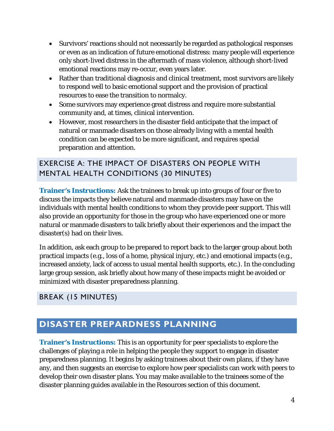- Survivors' reactions should not necessarily be regarded as pathological responses or even as an indication of future emotional distress: many people will experience only short-lived distress in the aftermath of mass violence, although short-lived emotional reactions may re-occur, even years later.
- Rather than traditional diagnosis and clinical treatment, most survivors are likely to respond well to basic emotional support and the provision of practical resources to ease the transition to normalcy.
- Some survivors may experience great distress and require more substantial community and, at times, clinical intervention.
- However, most researchers in the disaster field anticipate that the impact of natural or manmade disasters on those already living with a mental health condition can be expected to be more significant, and requires special preparation and attention.

#### <span id="page-7-0"></span>EXERCISE A: THE IMPACT OF DISASTERS ON PEOPLE WITH MENTAL HEALTH CONDITIONS (30 MINUTES)

**Trainer's Instructions:** Ask the trainees to break up into groups of four or five to discuss the impacts they believe natural and manmade disasters may have on the individuals with mental health conditions to whom they provide peer support. This will also provide an opportunity for those in the group who have experienced one or more natural or manmade disasters to talk briefly about their experiences and the impact the disaster(s) had on their lives.

In addition, ask each group to be prepared to report back to the larger group about *both* practical impacts (e.g., loss of a home, physical injury, etc.) and emotional impacts (e.g., increased anxiety, lack of access to usual mental health supports, etc.). In the concluding large group session, ask briefly about how many of these impacts might be avoided or minimized with disaster preparedness planning.

#### <span id="page-7-1"></span>BREAK (15 MINUTES)

## <span id="page-7-2"></span>**DISASTER PREPARDNESS PLANNING**

**Trainer's Instructions:** This is an opportunity for peer specialists to explore the challenges of playing a role in helping the people they support to engage in disaster preparedness planning. It begins by asking trainees about their own plans, if they have any, and then suggests an exercise to explore how peer specialists can work with peers to develop their own disaster plans. You may make available to the trainees some of the disaster planning guides available in the Resources section of this document.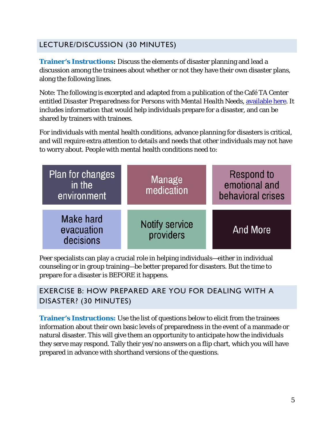#### <span id="page-8-0"></span>LECTURE/DISCUSSION (30 MINUTES)

**Trainer's Instructions:** Discuss the elements of disaster planning and lead a discussion among the trainees about whether or not they have their own disaster plans, along the following lines.

Note: The following is excerpted and adapted from a publication of the Café TA Center entitled *Disaster Preparedness for Persons with Mental Health Needs*, [available here.](http://cafetacenter.net/wp-content/uploads/2012/02/Disaster-Preparedness-White-Paper-final.pdf) It includes information that would help individuals prepare for a disaster, and can be shared by trainers with trainees.

For individuals with mental health conditions, advance planning for disasters is critical, and will require extra attention to details and needs that other individuals may not have to worry about. People with mental health conditions need to:



Peer specialists can play a crucial role in helping individuals—either in individual counseling or in group training—be better prepared for disasters. But the time to prepare for a disaster is BEFORE it happens.

#### <span id="page-8-1"></span>EXERCISE B: HOW PREPARED ARE YOU FOR DEALING WITH A DISASTER? (30 MINUTES)

**Trainer's Instructions:** Use the list of questions below to elicit from the trainees information about their own basic levels of preparedness in the event of a manmade or natural disaster. This will give them an opportunity to anticipate how the individuals they serve may respond. Tally their yes/no answers on a flip chart, which you will have prepared in advance with shorthand versions of the questions.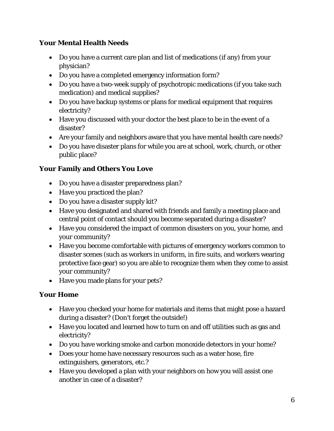#### **Your Mental Health Needs**

- Do you have a current care plan and list of medications (if any) from your physician?
- Do you have a completed emergency information form?
- Do you have a two-week supply of psychotropic medications (if you take such medication) and medical supplies?
- Do you have backup systems or plans for medical equipment that requires electricity?
- Have you discussed with your doctor the best place to be in the event of a disaster?
- Are your family and neighbors aware that you have mental health care needs?
- Do you have disaster plans for while you are at school, work, church, or other public place?

#### **Your Family and Others You Love**

- Do you have a disaster preparedness plan?
- Have you practiced the plan?
- Do you have a disaster supply kit?
- Have you designated and shared with friends and family a meeting place and central point of contact should you become separated during a disaster?
- Have you considered the impact of common disasters on you, your home, and your community?
- Have you become comfortable with pictures of emergency workers common to disaster scenes (such as workers in uniform, in fire suits, and workers wearing protective face gear) so you are able to recognize them when they come to assist your community?
- Have you made plans for your pets?

#### **Your Home**

- Have you checked your home for materials and items that might pose a hazard during a disaster? (Don't forget the outside!)
- Have you located and learned how to turn on and off utilities such as gas and electricity?
- Do you have working smoke and carbon monoxide detectors in your home?
- Does your home have necessary resources such as a water hose, fire extinguishers, generators, etc.?
- Have you developed a plan with your neighbors on how you will assist one another in case of a disaster?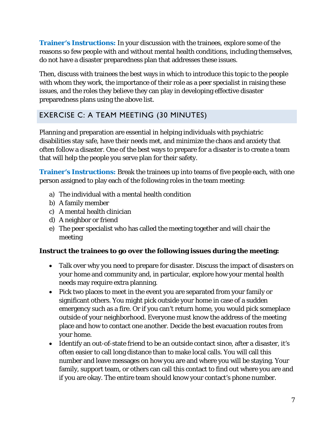**Trainer's Instructions:** In your discussion with the trainees, explore some of the reasons so few people with and without mental health conditions, including themselves, do not have a disaster preparedness plan that addresses these issues.

Then, discuss with trainees the best ways in which to introduce this topic to the people with whom they work, the importance of their role as a peer specialist in raising these issues, and the roles they believe they can play in developing effective disaster preparedness plans using the above list.

#### <span id="page-10-0"></span>EXERCISE C: A TEAM MEETING (30 MINUTES)

Planning and preparation are essential in helping individuals with psychiatric disabilities stay safe, have their needs met, and minimize the chaos and anxiety that often follow a disaster. One of the best ways to prepare for a disaster is to create a team that will help the people you serve plan for their safety.

**Trainer's Instructions:** Break the trainees up into teams of five people each, with one person assigned to play each of the following roles in the team meeting:

- a) The individual with a mental health condition
- b) A family member
- c) A mental health clinician
- d) A neighbor or friend
- e) The peer specialist who has called the meeting together and will chair the meeting

#### **Instruct the trainees to go over the following issues during the meeting:**

- Talk over why you need to prepare for disaster. Discuss the impact of disasters on your home and community and, in particular, explore how your mental health needs may require extra planning.
- Pick two places to meet in the event you are separated from your family or significant others. You might pick outside your home in case of a sudden emergency such as a fire. Or if you can't return home, you would pick someplace outside of your neighborhood. Everyone must know the address of the meeting place and how to contact one another. Decide the best evacuation routes from your home.
- Identify an out-of-state friend to be an outside contact since, after a disaster, it's often easier to call long distance than to make local calls. You will call this number and leave messages on how you are and where you will be staying. Your family, support team, or others can call this contact to find out where you are and if you are okay. The entire team should know your contact's phone number.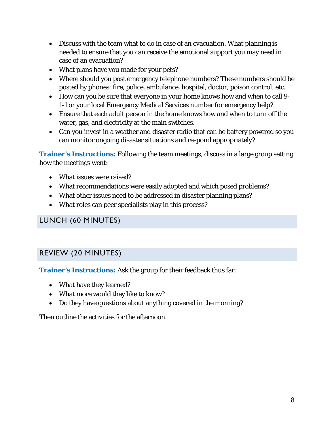- Discuss with the team what to do in case of an evacuation. What planning is needed to ensure that you can receive the emotional support you may need in case of an evacuation?
- What plans have you made for your pets?
- Where should you post emergency telephone numbers? These numbers should be posted by phones: fire, police, ambulance, hospital, doctor, poison control, etc.
- How can you be sure that everyone in your home knows how and when to call 9- 1-1 or your local Emergency Medical Services number for emergency help?
- Ensure that each adult person in the home knows how and when to turn off the water, gas, and electricity at the main switches.
- Can you invest in a weather and disaster radio that can be battery powered so you can monitor ongoing disaster situations and respond appropriately?

**Trainer's Instructions:** Following the team meetings, discuss in a large group setting how the meetings went:

- What issues were raised?
- What recommendations were easily adopted and which posed problems?
- What other issues need to be addressed in disaster planning plans?
- What roles can peer specialists play in this process?

#### <span id="page-11-0"></span>LUNCH (60 MINUTES)

#### <span id="page-11-1"></span>REVIEW (20 MINUTES)

**Trainer's Instructions:** Ask the group for their feedback thus far:

- What have they learned?
- What more would they like to know?
- Do they have questions about anything covered in the morning?

Then outline the activities for the afternoon.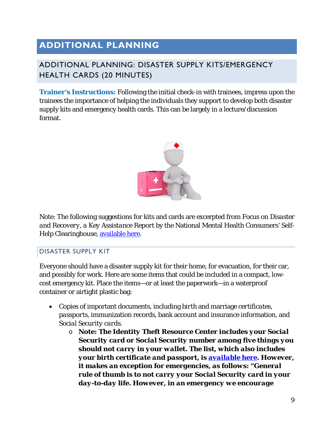## <span id="page-12-0"></span>**ADDITIONAL PLANNING**

#### <span id="page-12-1"></span>ADDITIONAL PLANNING: DISASTER SUPPLY KITS/EMERGENCY HEALTH CARDS (20 MINUTES)

**Trainer's Instructions:** Following the initial check-in with trainees, impress upon the trainees the importance of helping the individuals they support to develop both disaster supply kits and emergency health cards. This can be largely in a lecture/discussion format.



Note: The following suggestions for kits and cards are excerpted from *Focus on Disaster and Recovery, a Key Assistance Report* by the National Mental Health Consumers' SelfHelp Clearinghouse, [available here.](http://tinyurl.com/hs8tceb)

#### <span id="page-12-2"></span>DISASTER SUPPLY KIT

Everyone should have a disaster supply kit for their home, for evacuation, for their car, and possibly for work. Here are some items that could be included in a compact, lowcost emergency kit. Place the items—or at least the paperwork—in a waterproof container or airtight plastic bag:

- Copies of important documents, including *birth* and marriage *certificates*, *passports*, immunization records, bank account and insurance information, and *Social Security cards*.
	- o *Note: The Identity Theft Resource Center includes your Social Security card or Social Security number among five things you should not carry in your wallet. The list, which also includes your birth certificate and passport, is [available here.](http://www.idtheftcenter.org/Identity-Theft/5-things-you-should-never-carry-in-your-wallet.html) However, it makes an exception for emergencies, as follows: "General rule of thumb is to not carry your Social Security card in your day-to-day life. However, in an emergency we encourage*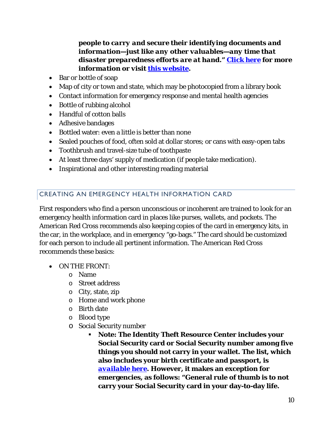#### *people to carry and secure their identifying documents and information—just like any other valuables—any time that disaster preparedness efforts are at hand." [Click here](http://www.idtheftcenter.org/home-column-2/use-of-your-social-security-number-in-an-emergency) for more information or visit [this website.](http://www.idtheftcenter.org/)*

- Bar or bottle of soap
- Map of city or town and state, which may be photocopied from a library book
- Contact information for emergency response and mental health agencies
- Bottle of rubbing alcohol
- Handful of cotton balls
- Adhesive bandages
- Bottled water: even a little is better than none
- Sealed pouches of food, often sold at dollar stores; or cans with easy-open tabs
- Toothbrush and travel-size tube of toothpaste
- At least three days' supply of medication (if people take medication).
- Inspirational and other interesting reading material

#### <span id="page-13-0"></span>CREATING AN EMERGENCY HEALTH INFORMATION CARD

First responders who find a person unconscious or incoherent are trained to look for an emergency health information card in places like purses, wallets, and pockets. The American Red Cross recommends also keeping copies of the card in emergency kits, in the car, in the workplace, and in emergency "go-bags." The card should be customized for each person to include all pertinent information. The American Red Cross recommends these basics:

- ON THE FRONT:
	- o Name
	- o Street address
	- o City, state, zip
	- o Home and work phone
	- o Birth date
	- o Blood type
	- o Social Security number
		- **Note: The Identity Theft Resource Center includes your Social Security card or Social Security number among five things you should not carry in your wallet. The list, which also includes your birth certificate and passport, is**  *[available here](http://www.idtheftcenter.org/Identity-Theft/5-things-you-should-never-carry-in-your-wallet.html)***. However, it makes an exception for emergencies, as follows: "General rule of thumb is to not carry your Social Security card in your day-to-day life.**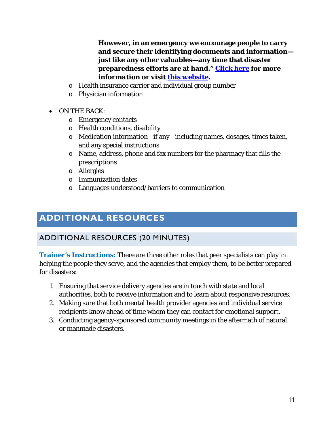**However, in an emergency we encourage people to carry and secure their identifying documents and information just like any other valuables—any time that disaster preparedness efforts are at hand."** *[Click here](http://www.idtheftcenter.org/home-column-2/use-of-your-social-security-number-in-an-emergency) for more information or visit [this website.](http://www.idtheftcenter.org/)*

- o Health insurance carrier and individual group number
- o Physician information
- ON THE BACK:
	- o Emergency contacts
	- o Health conditions, disability
	- o Medication information—if any—including names, dosages, times taken, and any special instructions
	- o Name, address, phone and fax numbers for the pharmacy that fills the prescriptions
	- o Allergies
	- o Immunization dates
	- o Languages understood/barriers to communication

## <span id="page-14-0"></span>**ADDITIONAL RESOURCES**

#### <span id="page-14-1"></span>ADDITIONAL RESOURCES (20 MINUTES)

**Trainer's Instructions:** There are three other roles that peer specialists can play in helping the people they serve, and the agencies that employ them, to be better prepared for disasters:

- 1. Ensuring that service delivery agencies are in touch with state and local authorities, both to receive information and to learn about responsive resources.
- 2. Making sure that both mental health provider agencies and individual service recipients know ahead of time whom they can contact for emotional support.
- 3. Conducting agency-sponsored community meetings in the aftermath of natural or manmade disasters.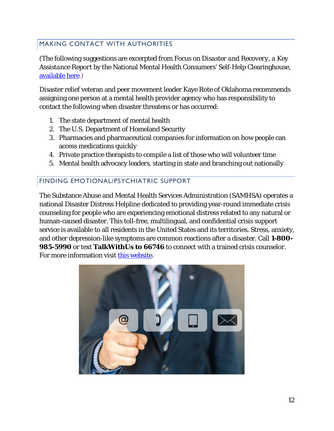#### <span id="page-15-0"></span>MAKING CONTACT WITH AUTHORITIES

(The following suggestions are excerpted from *Focus on Disaster and Recovery, a Key Assistance Report* by the National Mental Health Consumers' Self-Help Clearinghouse, [available here.](http://static1.1.sqspcdn.com/static/f/784909/16465228/1328645267110/KARDisasterRecovery.pdf?token=J1%2BppZq5bJR8KpyAt%2FbbP8Jv0gU%3D))

Disaster relief veteran and peer movement leader Kaye Rote of Oklahoma recommends assigning one person at a mental health provider agency who has responsibility to contact the following when disaster threatens or has occurred:

- 1. The state department of mental health
- 2. The U.S. Department of Homeland Security
- 3. Pharmacies and pharmaceutical companies for information on how people can access medications quickly
- 4. Private practice therapists to compile a list of those who will volunteer time
- 5. Mental health advocacy leaders, starting in state and branching out nationally

#### <span id="page-15-1"></span>FINDING EMOTIONAL/PSYCHIATRIC SUPPORT

The Substance Abuse and Mental Health Services Administration (SAMHSA) operates a national Disaster Distress Helpline dedicated to providing year-round immediate crisis counseling for people who are experiencing emotional distress related to any natural or human-caused disaster. This toll-free, multilingual, and confidential crisis support service is available to all residents in the United States and its territories. Stress, anxiety, and other depression-like symptoms are common reactions after a disaster. Call **1-800- 985-5990** or text **TalkWithUs to 66746** to connect with a trained crisis counselor. For more information visit [this website.](http://www.disasterdistress.samhsa.gov/)

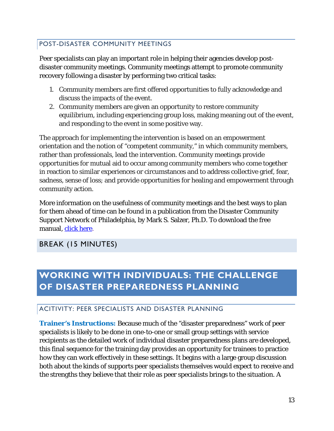#### <span id="page-16-0"></span>POST-DISASTER COMMUNITY MEETINGS

Peer specialists can play an important role in helping their agencies develop postdisaster community meetings. Community meetings attempt to promote community recovery following a disaster by performing two critical tasks:

- 1. Community members are first offered opportunities to fully acknowledge and discuss the impacts of the event.
- 2. Community members are given an opportunity to restore community equilibrium, including experiencing group loss, making meaning out of the event, and responding to the event in some positive way.

The approach for implementing the intervention is based on an empowerment orientation and the notion of "competent community," in which community members, rather than professionals, lead the intervention. Community meetings provide opportunities for mutual aid to occur among community members who come together in reaction to similar experiences or circumstances and to address collective grief, fear, sadness, sense of loss; and provide opportunities for healing and empowerment through community action.

More information on the usefulness of community meetings and the best ways to plan for them ahead of time can be found in a publication from the Disaster Community Support Network of Philadelphia, by Mark S. Salzer, Ph.D. To download the free manual, [click here.](http://tinyurl.com/gw3n6at)

#### <span id="page-16-1"></span>BREAK (15 MINUTES)

## <span id="page-16-2"></span>**WORKING WITH INDIVIDUALS: THE CHALLENGE OF DISASTER PREPAREDNESS PLANNING**

#### <span id="page-16-3"></span>ACITIVITY: PEER SPECIALISTS AND DISASTER PLANNING

**Trainer's Instructions:** Because much of the "disaster preparedness" work of peer specialists is likely to be done in one-to-one or small group settings with service recipients as the detailed work of individual disaster preparedness plans are developed, this final sequence for the training day provides an opportunity for trainees to practice how they can work effectively in these settings. It begins with a large group discussion both about the kinds of supports peer specialists themselves would expect to receive and the strengths they believe that their role as peer specialists brings to the situation. A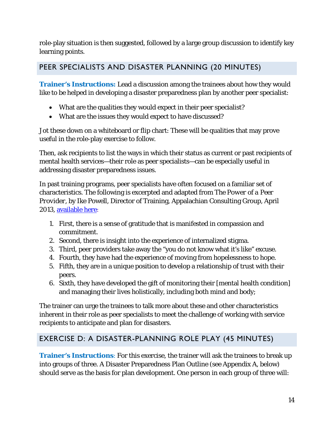role-play situation is then suggested, followed by a large group discussion to identify key learning points.

#### <span id="page-17-0"></span>PEER SPECIALISTS AND DISASTER PLANNING (20 MINUTES)

**Trainer's Instructions:** Lead a discussion among the trainees about how they would like to be helped in developing a disaster preparedness plan by another peer specialist:

- What are the qualities they would expect in their peer specialist?
- What are the issues they would expect to have discussed?

Jot these down on a whiteboard or flip chart: These will be qualities that may prove useful in the role-play exercise to follow.

Then, ask recipients to list the ways in which their status as current or past recipients of mental health services—their role as peer specialists—can be especially useful in addressing disaster preparedness issues.

In past training programs, peer specialists have often focused on a familiar set of characteristics. The following is excerpted and adapted from *The Power of a Peer Provider*, by Ike Powell, Director of Training, Appalachian Consulting Group, April 2013, [available here:](http://www.peerspecialist.org/Document_PS/The_Power_of_a_Peer_Provider_091114.pdf)

- 1. First, there is a sense of gratitude that is manifested in compassion and commitment.
- 2. Second, there is insight into the experience of internalized stigma.
- 3. Third, peer providers take away the "you do not know what it's like" excuse.
- 4. Fourth, they have had the experience of moving from hopelessness to hope.
- 5. Fifth, they are in a unique position to develop a relationship of trust with their peers.
- 6. Sixth, they have developed the gift of monitoring their [mental health condition] and managing their lives holistically, including both mind and body;

The trainer can urge the trainees to talk more about these and other characteristics inherent in their role as peer specialists to meet the challenge of working with service recipients to anticipate and plan for disasters.

## <span id="page-17-1"></span>EXERCISE D: A DISASTER-PLANNING ROLE PLAY (45 MINUTES)

**Trainer's Instructions**: For this exercise, the trainer will ask the trainees to break up into groups of three. A Disaster Preparedness Plan Outline (see Appendix A, below) should serve as the basis for plan development. One person in each group of three will: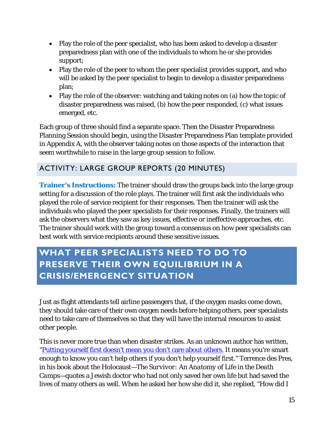- Play the role of the peer specialist, who has been asked to develop a disaster preparedness plan with one of the individuals to whom he or she provides support;
- Play the role of the peer to whom the peer specialist provides support, and who will be asked by the peer specialist to begin to develop a disaster preparedness plan;
- Play the role of the observer: watching and taking notes on (a) how the topic of disaster preparedness was raised, (b) how the peer responded, (c) what issues emerged, etc.

Each group of three should find a separate space. Then the Disaster Preparedness Planning Session should begin, using the Disaster Preparedness Plan template provided in Appendix A, with the observer taking notes on those aspects of the interaction that seem worthwhile to raise in the large group session to follow.

#### <span id="page-18-0"></span>ACTIVITY: LARGE GROUP REPORTS (20 MINUTES)

**Trainer's Instructions:** The trainer should draw the groups back into the large group setting for a discussion of the role plays. The trainer will first ask the individuals who played the role of service recipient for their responses. Then the trainer will ask the individuals who played the peer specialists for their responses. Finally, the trainers will ask the observers what they saw as key issues, effective or ineffective approaches, etc. The trainer should work with the group toward a consensus on how peer specialists can best work with service recipients around these sensitive issues.

## <span id="page-18-1"></span>**WHAT PEER SPECIALISTS NEED TO DO TO PRESERVE THEIR OWN EQUILIBRIUM IN A CRISIS/EMERGENCY SITUATION**

Just as flight attendants tell airline passengers that, if the oxygen masks come down, they should take care of their own oxygen needs before helping others, peer specialists need to take care of themselves so that they will have the internal resources to assist other people.

This is never more true than when disaster strikes. As an unknown author has written, ["Putting yourself first doesn't mean you don't care about others.](https://tinyurl.com/y9yowes7) It means you're smart enough to know you can't help others if you don't help yourself first." Terrence des Pres, in his book about the Holocaust*—The Survivor: An Anatomy of Life in the Death Camps—*quotes a Jewish doctor who had not only saved her own life but had saved the lives of many others as well. When he asked her how she did it, she replied, "How did I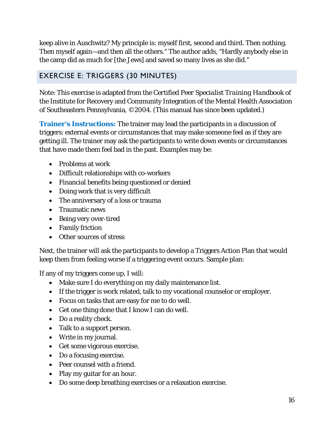keep alive in Auschwitz? My principle is: myself first, second and third. Then nothing. Then myself again—and then all the others." The author adds, "Hardly anybody else in the camp did as much for [the Jews] and saved so many lives as she did."

#### <span id="page-19-0"></span>EXERCISE E: TRIGGERS (30 MINUTES)

Note: This exercise is adapted from the *Certified Peer Specialist Training Handbook* of the Institute for Recovery and Community Integration of the Mental Health Association of Southeastern Pennsylvania, ©2004. (This manual has since been updated.)

**Trainer's Instructions:** The trainer may lead the participants in a discussion of triggers: external events or circumstances that may make someone feel as if they are getting ill. The trainer may ask the participants to write down events or circumstances that have made them feel bad in the past. Examples may be:

- Problems at work
- Difficult relationships with co-workers
- Financial benefits being questioned or denied
- Doing work that is very difficult
- The anniversary of a loss or trauma
- Traumatic news
- Being very over-tired
- Family friction
- Other sources of stress

Next, the trainer will ask the participants to develop a Triggers Action Plan that would keep them from feeling worse if a triggering event occurs. Sample plan:

If any of my triggers come up, I will:

- Make sure I do everything on my daily maintenance list.
- If the trigger is work related, talk to my vocational counselor or employer.
- Focus on tasks that are easy for me to do well.
- Get one thing done that I know I can do well.
- Do a reality check.
- Talk to a support person.
- Write in my journal.
- Get some vigorous exercise.
- Do a focusing exercise.
- Peer counsel with a friend.
- Play my guitar for an hour.
- Do some deep breathing exercises or a relaxation exercise.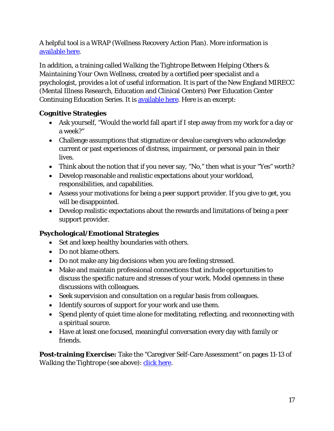A helpful tool is a WRAP (Wellness Recovery Action Plan). More information is [available here.](https://copelandcenter.com/wellness-recovery-action-plan-wrap)

In addition, a training called *Walking the Tightrope Between Helping Others & Maintaining Your Own Wellness,* created by a certified peer specialist and a psychologist, provides a lot of useful information. It is part of the New England MIRECC (Mental Illness Research, Education and Clinical Centers) Peer Education Center Continuing Education Series. It is [available here.](http://www.mirecc.va.gov/visn1/docs/products/Peer_Support_Provider_Self-Care_Presentation.pdf) Here is an excerpt:

#### **Cognitive Strategies**

- Ask yourself, "Would the world fall apart if I step away from my work for a day or a week?"
- Challenge assumptions that stigmatize or devalue caregivers who acknowledge current or past experiences of distress, impairment, or personal pain in their lives.
- Think about the notion that if you never say, "No," then what is your "Yes" worth?
- Develop reasonable and realistic expectations about your workload, responsibilities, and capabilities.
- Assess your motivations for being a peer support provider. If you give to get, you will be disappointed.
- Develop realistic expectations about the rewards and limitations of being a peer support provider.

#### **Psychological/Emotional Strategies**

- Set and keep healthy boundaries with others.
- Do not blame others.
- Do not make any big decisions when you are feeling stressed.
- Make and maintain professional connections that include opportunities to discuss the specific nature and stresses of your work. Model openness in these discussions with colleagues.
- Seek supervision and consultation on a regular basis from colleagues.
- Identify sources of support for your work and use them.
- Spend plenty of quiet time alone for meditating, reflecting, and reconnecting with a spiritual source.
- Have at least one focused, meaningful conversation every day with family or friends.

**Post-training Exercise:** Take the "Caregiver Self-Care Assessment" on pages 11-13 of *Walking the Tightrope* (see above): *click here.*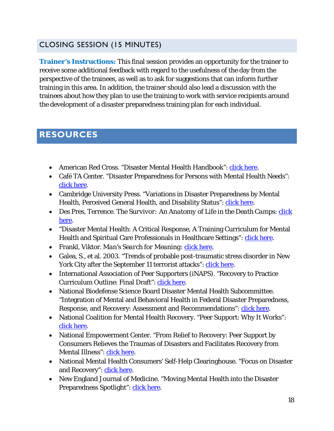#### <span id="page-21-0"></span>CLOSING SESSION (15 MINUTES)

**Trainer's Instructions:** This final session provides an opportunity for the trainer to receive some additional feedback with regard to the usefulness of the day from the perspective of the trainees, as well as to ask for suggestions that can inform further training in this area. In addition, the trainer should also lead a discussion with the trainees about how they plan to use the training to work with service recipients around the development of a disaster preparedness training plan for each individual.

### <span id="page-21-1"></span>**RESOURCES**

- American Red Cross. "Disaster Mental Health Handbook": [click here.](https://tinyurl.com/y7phefqv)
- Café TA Center. "Disaster Preparedness for Persons with Mental Health Needs": [click here.](http://cafetacenter.net/wp-content/uploads/2012/02/Disaster-Preparedness-White-Paper-final.pdf)
- Cambridge University Press. "Variations in Disaster Preparedness by Mental Health, Perceived General Health, and Disability Status": [click here.](http://tinyurl.com/hffvd3p)
- Des Pres, Terrence. *The Survivor: An Anatomy of Life in the Death Camps*: *click* [here](https://www.amazon.com/Survivor-Anatomy-Life-Death-Camps/dp/0195027035)*.*
- "Disaster Mental Health: A Critical Response, A Training Curriculum for Mental Health and Spiritual Care Professionals in Healthcare Settings": [click here.](https://www.urmc.rochester.edu/MediaLibraries/URMCMedia/flrtc/preparedness-response-tools/documents/H_DMH_Part_Manual.pdf)
- Frankl, Viktor. *Man's Search for Meaning*: *click here.*
- Galea, S., et al. 2003. "Trends of probable post-traumatic stress disorder in New York City after the September 11 terrorist attacks": [click here.](https://www.ncbi.nlm.nih.gov/pubmed/12965877)
- International Association of Peer Supporters (iNAPS). "Recovery to Practice Curriculum Outline: Final Draft": [click here.](http://www.naops.org/sitebuildercontent/sitebuilderfiles/rtp_outline_final_draft.pdf)
- National Biodefense Science Board Disaster Mental Health Subcommittee. "Integration of Mental and Behavioral Health in Federal Disaster Preparedness, Response, and Recovery: Assessment and Recommendations": [click here.](https://www.phe.gov/Preparedness/legal/boards/nprsb/meetings/Documents/dmhreport1010.pdf)
- National Coalition for Mental Health Recovery. "Peer Support: Why It Works": [click here.](https://www.ncmhr.org/downloads/References-on-why-peer-support-works-4.16.2014.pdf)
- National Empowerment Center. "From Relief to Recovery: Peer Support by Consumers Relieves the Traumas of Disasters and Facilitates Recovery from Mental Illness": [click here.](https://www.power2u.org/downloads/From%20Relief%20to%20Recovery.pdf)
- National Mental Health Consumers' Self-Help Clearinghouse. "Focus on Disaster and Recovery": [click here.](http://tinyurl.com/hs8tceb)
- New England Journal of Medicine. "Moving Mental Health into the Disaster Preparedness Spotlight": [click here.](http://www.nejm.org/doi/full/10.1056/NEJMp1008304#t=article)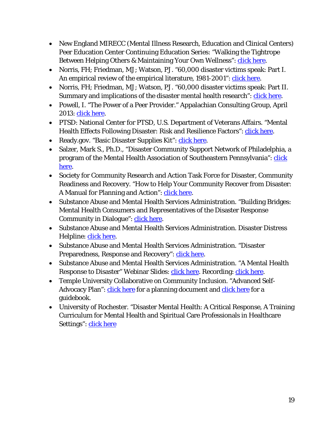- New England MIRECC (Mental Illness Research, Education and Clinical Centers) Peer Education Center Continuing Education Series: "Walking the Tightrope Between Helping Others & Maintaining Your Own Wellness": [click here.](http://www.mirecc.va.gov/visn1/docs/products/Peer_Support_Provider_Self-Care_Presentation.pdf)
- Norris, FH; Friedman, MJ; Watson, PJ. "60,000 disaster victims speak: Part I. An empirical review of the empirical literature, 1981-2001": [click here.](https://www.ncbi.nlm.nih.gov/pubmed/12405079)
- Norris, FH; Friedman, MJ; Watson, PJ. "60,000 disaster victims speak: Part II. Summary and implications of the disaster mental health research": [click here.](https://www.ncbi.nlm.nih.gov/pubmed/12405080)
- Powell, I. "The Power of a Peer Provider." Appalachian Consulting Group, April 2013: *click here.*
- PTSD: National Center for PTSD, U.S. Department of Veterans Affairs. "Mental Health Effects Following Disaster: Risk and Resilience Factors": [click here.](http://www.ptsd.va.gov/professional/treatment/early/mental-health-following-disasters.asp)
- Ready.gov. "Basic Disaster Supplies Kit": [click here.](https://www.ready.gov/kit?gclid=CKzfufWz6NECFZBWDQodFMgIjw)
- Salzer, Mark S., Ph.D., "Disaster Community Support Network of Philadelphia, a program of the Mental Health Association of Southeastern Pennsylvania": [click](http://tinyurl.com/gw3n6at)  [here.](http://tinyurl.com/gw3n6at)
- Society for Community Research and Action Task Force for Disaster, Community Readiness and Recovery. "How to Help Your Community Recover from Disaster: A Manual for Planning and Action": *click here.*
- Substance Abuse and Mental Health Services Administration. "Building Bridges: Mental Health Consumers and Representatives of the Disaster Response Community in Dialogue": [click here.](https://store.samhsa.gov/shin/content/SMA07-4250/SMA07-4250.pdf)
- Substance Abuse and Mental Health Services Administration. Disaster Distress Helpline: [click here.](https://www.samhsa.gov/find-help/disaster-distress-helpline)
- Substance Abuse and Mental Health Services Administration. "Disaster Preparedness, Response and Recovery": [click here.](https://www.samhsa.gov/disaster-preparedness)
- Substance Abuse and Mental Health Services Administration. "A Mental Health Response to Disaster" Webinar Slides: [click here.](https://nasmhpd.adobeconnect.com/p5z7w3updxl/?launcher=false&fcsContent=true&pbMode=normal) Recording: click here.
- Temple University Collaborative on Community Inclusion. "Advanced SelfAdvocacy Plan": [click here](http://tucollaborative.org/sdm_downloads/advanced-self-advocacy-plan-a-guidebook/) for a planning document and click here for a guidebook.
- University of Rochester. "Disaster Mental Health: A Critical Response, A Training Curriculum for Mental Health and Spiritual Care Professionals in Healthcare Settings": click here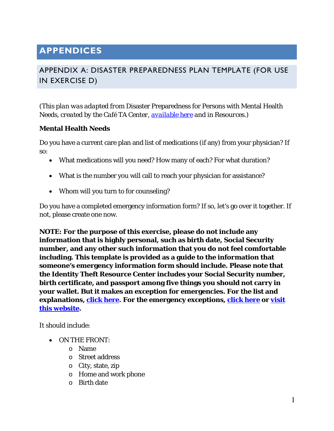## <span id="page-23-0"></span>**APPENDICES**

#### <span id="page-23-1"></span>APPENDIX A: DISASTER PREPAREDNESS PLAN TEMPLATE (FOR USE IN EXERCISE D)

*(This plan was adapted from* Disaster Preparedness for Persons with Mental Health Needs*, created by the Café TA Center, [available here](http://cafetacenter.net/wp-content/uploads/2012/02/Disaster-Preparedness-White-Paper-final.pdf) and in Resources.)*

#### **Mental Health Needs**

Do you have a current care plan and list of medications (if any) from your physician? If so:

- What medications will you need? How many of each? For what duration?
- What is the number you will call to reach your physician for assistance?
- Whom will you turn to for counseling?

Do you have a completed emergency information form? If so, let's go over it together. If not, please create one now.

**NOTE: For the purpose of this exercise, please do not include any information that is highly personal, such as birth date, Social Security number, and any other such information that you do not feel comfortable including. This template is provided as a guide to the information that someone's emergency information form should include. Please note that the Identity Theft Resource Center includes your Social Security number, birth certificate, and passport among five things you should not carry in your wallet. But it makes an exception for emergencies. For the list and explanations, [click here.](https://tinyurl.com/ya8qw77p) For the emergency exceptions, [click here](https://tinyurl.com/ydggqn7e) or [visit](https://www.idtheftcenter.org/)  [this website.](https://www.idtheftcenter.org/)**

It should include:

- ON THE FRONT:
	- o Name
	- o Street address
	- o City, state, zip
	- o Home and work phone
	- o Birth date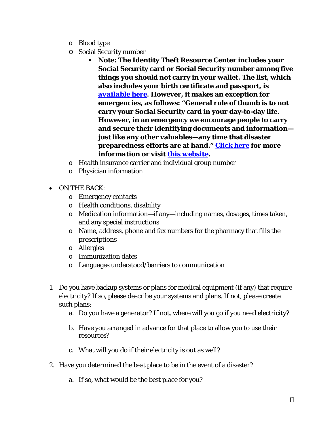- o Blood type
- o Social Security number
	- **Note: The Identity Theft Resource Center includes your Social Security card or Social Security number among five things you should not carry in your wallet. The list, which also includes your birth certificate and passport, is**  *[available here](http://www.idtheftcenter.org/Identity-Theft/5-things-you-should-never-carry-in-your-wallet.html)***. However, it makes an exception for emergencies, as follows: "General rule of thumb is to not carry your Social Security card in your day-to-day life. However, in an emergency we encourage people to carry and secure their identifying documents and information just like any other valuables—any time that disaster preparedness efforts are at hand."** *[Click here](http://www.idtheftcenter.org/home-column-2/use-of-your-social-security-number-in-an-emergency) for more information or visit [this website.](http://www.idtheftcenter.org/)*
- o Health insurance carrier and individual group number
- o Physician information
- ON THE BACK:
	- o Emergency contacts
	- o Health conditions, disability
	- o Medication information—if any—including names, dosages, times taken, and any special instructions
	- o Name, address, phone and fax numbers for the pharmacy that fills the prescriptions
	- o Allergies
	- o Immunization dates
	- o Languages understood/barriers to communication
- 1. Do you have backup systems or plans for medical equipment (if any) that require electricity? If so, please describe your systems and plans. If not, please create such plans:
	- a. Do you have a generator? If not, where will you go if you need electricity?
	- b. Have you arranged in advance for that place to allow you to use their resources?
	- c. What will you do if their electricity is out as well?
- 2. Have you determined the best place to be in the event of a disaster?
	- a. If so, what would be the best place for you?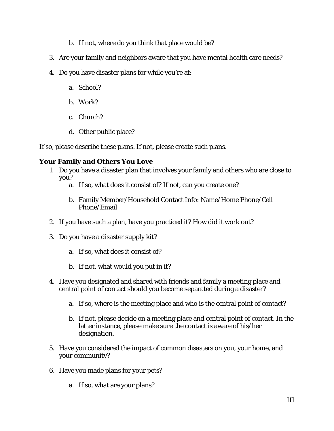- b. If not, where do you think that place would be?
- 3. Are your family and neighbors aware that you have mental health care needs?
- 4. Do you have disaster plans for while you're at:
	- a. School?
	- b. Work?
	- c. Church?
	- d. Other public place?

If so, please describe these plans. If not, please create such plans.

#### **Your Family and Others You Love**

- 1. Do you have a disaster plan that involves your family and others who are close to you?
	- a. If so, what does it consist of? If not, can you create one?
	- b. Family Member/Household Contact Info: Name/Home Phone/Cell Phone/Email
- 2. If you have such a plan, have you practiced it? How did it work out?
- 3. Do you have a disaster supply kit?
	- a. If so, what does it consist of?
	- b. If not, what would you put in it?
- 4. Have you designated and shared with friends and family a meeting place and central point of contact should you become separated during a disaster?
	- a. If so, where is the meeting place and who is the central point of contact?
	- b. If not, please decide on a meeting place and central point of contact. In the latter instance, please make sure the contact is aware of his/her designation.
- 5. Have you considered the impact of common disasters on you, your home, and your community?
- 6. Have you made plans for your pets?
	- a. If so, what are your plans?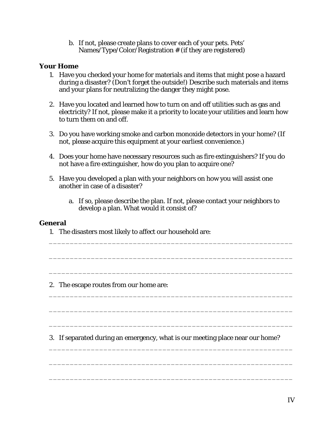b. If not, please create plans to cover each of your pets. Pets' Names/Type/Color/Registration # (if they are registered)

#### **Your Home**

- 1. Have you checked your home for materials and items that might pose a hazard during a disaster? (Don't forget the outside!) Describe such materials and items and your plans for neutralizing the danger they might pose.
- 2. Have you located and learned how to turn on and off utilities such as gas and electricity? If not, please make it a priority to locate your utilities and learn how to turn them on and off.
- 3. Do you have working smoke and carbon monoxide detectors in your home? (If not, please acquire this equipment at your earliest convenience.)
- 4. Does your home have necessary resources such as fire extinguishers? If you do not have a fire extinguisher, how do you plan to acquire one?
- 5. Have you developed a plan with your neighbors on how you will assist one another in case of a disaster?
	- a. If so, please describe the plan. If not, please contact your neighbors to develop a plan. What would it consist of?

\_\_\_\_\_\_\_\_\_\_\_\_\_\_\_\_\_\_\_\_\_\_\_\_\_\_\_\_\_\_\_\_\_\_\_\_\_\_\_\_\_\_\_\_\_\_\_\_\_\_\_\_\_\_\_\_\_\_

\_\_\_\_\_\_\_\_\_\_\_\_\_\_\_\_\_\_\_\_\_\_\_\_\_\_\_\_\_\_\_\_\_\_\_\_\_\_\_\_\_\_\_\_\_\_\_\_\_\_\_\_\_\_\_\_\_\_

\_\_\_\_\_\_\_\_\_\_\_\_\_\_\_\_\_\_\_\_\_\_\_\_\_\_\_\_\_\_\_\_\_\_\_\_\_\_\_\_\_\_\_\_\_\_\_\_\_\_\_\_\_\_\_\_\_\_

\_\_\_\_\_\_\_\_\_\_\_\_\_\_\_\_\_\_\_\_\_\_\_\_\_\_\_\_\_\_\_\_\_\_\_\_\_\_\_\_\_\_\_\_\_\_\_\_\_\_\_\_\_\_\_\_\_\_

\_\_\_\_\_\_\_\_\_\_\_\_\_\_\_\_\_\_\_\_\_\_\_\_\_\_\_\_\_\_\_\_\_\_\_\_\_\_\_\_\_\_\_\_\_\_\_\_\_\_\_\_\_\_\_\_\_\_

\_\_\_\_\_\_\_\_\_\_\_\_\_\_\_\_\_\_\_\_\_\_\_\_\_\_\_\_\_\_\_\_\_\_\_\_\_\_\_\_\_\_\_\_\_\_\_\_\_\_\_\_\_\_\_\_\_\_

\_\_\_\_\_\_\_\_\_\_\_\_\_\_\_\_\_\_\_\_\_\_\_\_\_\_\_\_\_\_\_\_\_\_\_\_\_\_\_\_\_\_\_\_\_\_\_\_\_\_\_\_\_\_\_\_\_\_

\_\_\_\_\_\_\_\_\_\_\_\_\_\_\_\_\_\_\_\_\_\_\_\_\_\_\_\_\_\_\_\_\_\_\_\_\_\_\_\_\_\_\_\_\_\_\_\_\_\_\_\_\_\_\_\_\_\_

\_\_\_\_\_\_\_\_\_\_\_\_\_\_\_\_\_\_\_\_\_\_\_\_\_\_\_\_\_\_\_\_\_\_\_\_\_\_\_\_\_\_\_\_\_\_\_\_\_\_\_\_\_\_\_\_\_\_

#### **General**

1. The disasters most likely to affect our household are:

2. The escape routes from our home are:

3. If separated during an emergency, what is our meeting place near our home?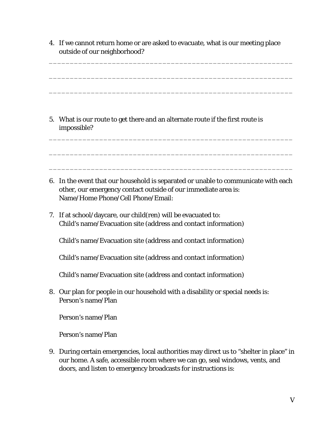4. If we cannot return home or are asked to evacuate, what is our meeting place outside of our neighborhood?

\_\_\_\_\_\_\_\_\_\_\_\_\_\_\_\_\_\_\_\_\_\_\_\_\_\_\_\_\_\_\_\_\_\_\_\_\_\_\_\_\_\_\_\_\_\_\_\_\_\_\_\_\_\_\_\_\_\_

\_\_\_\_\_\_\_\_\_\_\_\_\_\_\_\_\_\_\_\_\_\_\_\_\_\_\_\_\_\_\_\_\_\_\_\_\_\_\_\_\_\_\_\_\_\_\_\_\_\_\_\_\_\_\_\_\_\_

\_\_\_\_\_\_\_\_\_\_\_\_\_\_\_\_\_\_\_\_\_\_\_\_\_\_\_\_\_\_\_\_\_\_\_\_\_\_\_\_\_\_\_\_\_\_\_\_\_\_\_\_\_\_\_\_\_\_

\_\_\_\_\_\_\_\_\_\_\_\_\_\_\_\_\_\_\_\_\_\_\_\_\_\_\_\_\_\_\_\_\_\_\_\_\_\_\_\_\_\_\_\_\_\_\_\_\_\_\_\_\_\_\_\_\_\_

\_\_\_\_\_\_\_\_\_\_\_\_\_\_\_\_\_\_\_\_\_\_\_\_\_\_\_\_\_\_\_\_\_\_\_\_\_\_\_\_\_\_\_\_\_\_\_\_\_\_\_\_\_\_\_\_\_\_

\_\_\_\_\_\_\_\_\_\_\_\_\_\_\_\_\_\_\_\_\_\_\_\_\_\_\_\_\_\_\_\_\_\_\_\_\_\_\_\_\_\_\_\_\_\_\_\_\_\_\_\_\_\_\_\_\_\_

5. What is our route to get there and an alternate route if the first route is impossible?

- 6. In the event that our household is separated or unable to communicate with each other, our emergency contact outside of our immediate area is: Name/Home Phone/Cell Phone/Email:
- 7. If at school/daycare, our child(ren) will be evacuated to: Child's name/Evacuation site (address and contact information)

Child's name/Evacuation site (address and contact information)

Child's name/Evacuation site (address and contact information)

Child's name/Evacuation site (address and contact information)

8. Our plan for people in our household with a disability or special needs is: Person's name/Plan

Person's name/Plan

Person's name/Plan

9. During certain emergencies, local authorities may direct us to "shelter in place" in our home. A safe, accessible room where we can go, seal windows, vents, and doors, and listen to emergency broadcasts for instructions is: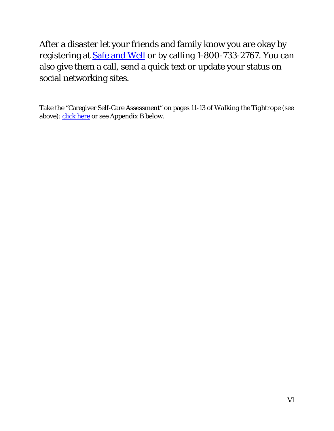After a disaster let your friends and family know you are okay by registering at [Safe and Well](https://safeandwell.communityos.org/cms/) or by calling 1-800-733-2767. You can also give them a call, send a quick text or update your status on social networking sites.

Take the "Caregiver Self-Care Assessment" on pages 11-13 of *Walking the Tightrope* (see above): *click here* or see Appendix B below.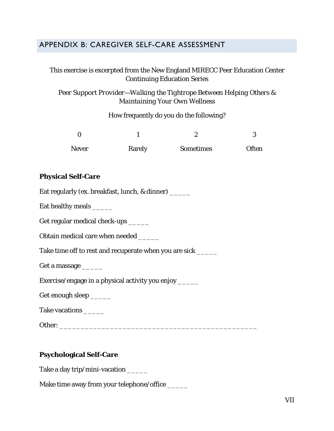#### <span id="page-29-0"></span>APPENDIX B: CAREGIVER SELF-CARE ASSESSMENT

#### This exercise is excerpted from the New England MIRECC Peer Education Center Continuing Education Series

#### *Peer Support Provider—Walking the Tightrope Between Helping Others & Maintaining Your Own Wellness*

How frequently do you do the following?

| <b>Never</b> | Rarely | <b>Sometimes</b> | <b>Often</b> |
|--------------|--------|------------------|--------------|

#### **Physical Self-Care**

Eat regularly (ex. breakfast, lunch, & dinner) \_\_\_\_\_\_

Eat healthy meals \_\_\_\_\_

Get regular medical check-ups \_\_\_\_\_\_

Obtain medical care when needed \_\_\_\_\_\_

Take time off to rest and recuperate when you are sick \_\_\_\_\_\_

Get a massage \_\_\_\_\_\_

Exercise/engage in a physical activity you enjoy \_\_\_\_\_\_

Get enough sleep \_\_\_\_\_

Take vacations \_\_\_\_\_

Other: \_\_\_\_\_\_\_\_\_\_\_\_\_\_\_\_\_\_\_\_\_\_\_\_\_\_\_\_\_\_\_\_\_\_\_\_\_\_\_\_\_\_\_\_\_\_\_

#### **Psychological Self-Care**

Take a day trip/mini-vacation \_\_\_\_\_\_

Make time away from your telephone/office \_\_\_\_\_\_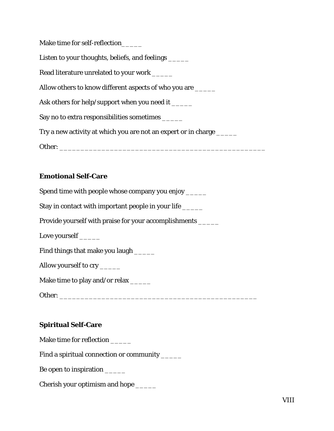| Make time for self-reflection                                         |
|-----------------------------------------------------------------------|
| Listen to your thoughts, beliefs, and feelings                        |
| Read literature unrelated to your work ______                         |
| Allow others to know different aspects of who you are ______          |
| Ask others for help/support when you need it ______                   |
| Say no to extra responsibilities sometimes                            |
| Try a new activity at which you are not an expert or in charge ______ |
| Other:                                                                |

#### **Emotional Self-Care**

Spend time with people whose company you enjoy \_\_\_\_\_ Stay in contact with important people in your life \_\_\_\_\_\_ Provide yourself with praise for your accomplishments \_\_\_\_\_ Love yourself \_\_\_\_\_\_ Find things that make you laugh \_\_\_\_\_\_ Allow yourself to cry \_\_\_\_\_\_ Make time to play and/or relax \_\_\_\_\_\_ Other: \_\_\_\_\_\_\_\_\_\_\_\_\_\_\_\_\_\_\_\_\_\_\_\_\_\_\_\_\_\_\_\_\_\_\_\_\_\_\_\_\_\_\_\_\_\_\_

#### **Spiritual Self-Care**

Make time for reflection \_\_\_\_\_\_

Find a spiritual connection or community \_\_\_\_\_\_

Be open to inspiration \_\_\_\_\_\_

Cherish your optimism and hope \_\_\_\_\_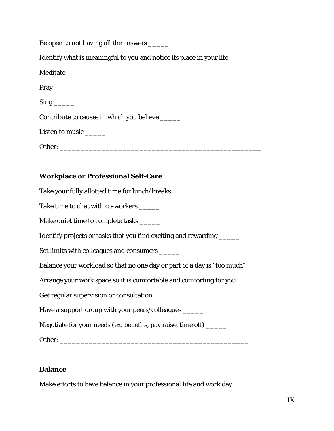| Be open to not having all the answers ______                                |
|-----------------------------------------------------------------------------|
| Identify what is meaningful to you and notice its place in your life ______ |
| Meditate ______                                                             |
| $Pray$ <sub>_______</sub>                                                   |
| $Sing$ <sub>______</sub>                                                    |
| Contribute to causes in which you believe ______                            |
| Listen to music ______                                                      |
|                                                                             |
|                                                                             |
| <b>Workplace or Professional Self-Care</b>                                  |
| Take your fully allotted time for lunch/breaks ______                       |
| Take time to chat with co-workers ______                                    |
| Make quiet time to complete tasks ______                                    |
| Identify projects or tasks that you find exciting and rewarding ______      |
| Set limits with colleagues and consumers ______                             |
| Balance your workload so that no one day or part of a day is "too much"     |
| Arrange your work space so it is comfortable and comforting for you         |
| Get regular supervision or consultation _____                               |
| Have a support group with your peers/colleagues ______                      |
| Negotiate for your needs (ex. benefits, pay raise, time off) _____          |
|                                                                             |

#### **Balance**

Make efforts to have balance in your professional life and work day \_\_\_\_\_\_